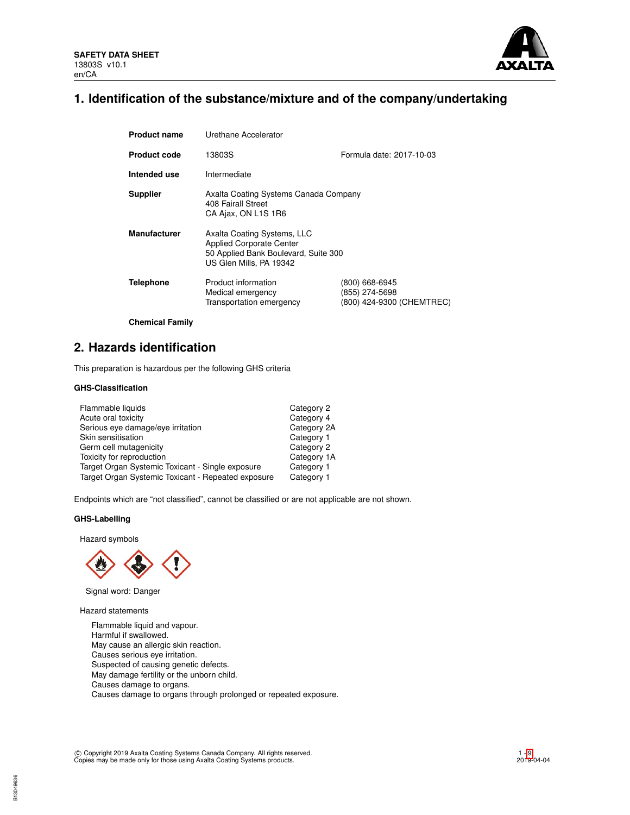

# **1. Identification of the substance/mixture and of the company/undertaking**

| <b>Product name</b> | Urethane Accelerator                                                                                                              |                                                               |  |  |  |
|---------------------|-----------------------------------------------------------------------------------------------------------------------------------|---------------------------------------------------------------|--|--|--|
| <b>Product code</b> | Formula date: 2017-10-03<br>13803S                                                                                                |                                                               |  |  |  |
| Intended use        | Intermediate                                                                                                                      |                                                               |  |  |  |
| <b>Supplier</b>     | Axalta Coating Systems Canada Company<br>408 Fairall Street<br>CA Ajax, ON L1S 1R6                                                |                                                               |  |  |  |
| <b>Manufacturer</b> | Axalta Coating Systems, LLC<br><b>Applied Corporate Center</b><br>50 Applied Bank Boulevard, Suite 300<br>US Glen Mills, PA 19342 |                                                               |  |  |  |
| <b>Telephone</b>    | Product information<br>Medical emergency<br>Transportation emergency                                                              | (800) 668-6945<br>(855) 274-5698<br>(800) 424-9300 (CHEMTREC) |  |  |  |

**Chemical Family**

# **2. Hazards identification**

This preparation is hazardous per the following GHS criteria

# **GHS-Classification**

| Category 2  |
|-------------|
| Category 4  |
| Category 2A |
| Category 1  |
| Category 2  |
| Category 1A |
| Category 1  |
| Category 1  |
|             |

Endpoints which are "not classified", cannot be classified or are not applicable are not shown.

## **GHS-Labelling**

Hazard symbols



Signal word: Danger

Hazard statements

Flammable liquid and vapour. Harmful if swallowed. May cause an allergic skin reaction. Causes serious eye irritation. Suspected of causing genetic defects. May damage fertility or the unborn child. Causes damage to organs. Causes damage to organs through prolonged or repeated exposure.

c Copyright 2019 Axalta Coating Systems Canada Company. All rights reserved. Copies may be made only for those using Axalta Coating Systems products.

1 - [9](#page-8-0) 2019-04-04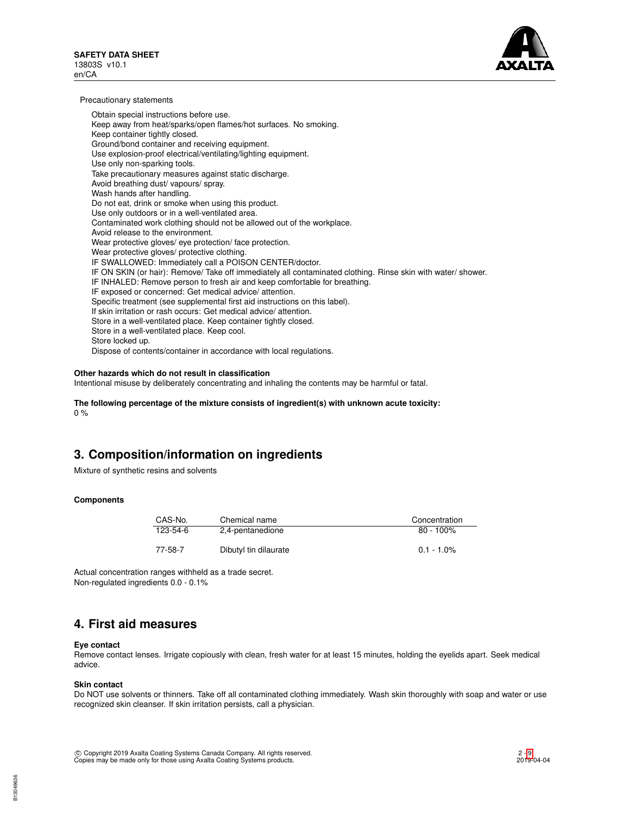

Precautionary statements

Obtain special instructions before use. Keep away from heat/sparks/open flames/hot surfaces. No smoking. Keep container tightly closed. Ground/bond container and receiving equipment. Use explosion-proof electrical/ventilating/lighting equipment. Use only non-sparking tools. Take precautionary measures against static discharge. Avoid breathing dust/ vapours/ spray. Wash hands after handling. Do not eat, drink or smoke when using this product. Use only outdoors or in a well-ventilated area. Contaminated work clothing should not be allowed out of the workplace. Avoid release to the environment. Wear protective gloves/ eye protection/ face protection. Wear protective gloves/ protective clothing. IF SWALLOWED: Immediately call a POISON CENTER/doctor. IF ON SKIN (or hair): Remove/ Take off immediately all contaminated clothing. Rinse skin with water/ shower. IF INHALED: Remove person to fresh air and keep comfortable for breathing. IF exposed or concerned: Get medical advice/ attention. Specific treatment (see supplemental first aid instructions on this label). If skin irritation or rash occurs: Get medical advice/ attention. Store in a well-ventilated place. Keep container tightly closed. Store in a well-ventilated place. Keep cool. Store locked up. Dispose of contents/container in accordance with local regulations.

## **Other hazards which do not result in classification**

Intentional misuse by deliberately concentrating and inhaling the contents may be harmful or fatal.

**The following percentage of the mixture consists of ingredient(s) with unknown acute toxicity:**  $0%$ 

# **3. Composition/information on ingredients**

Mixture of synthetic resins and solvents

### **Components**

| CAS-No.  | Chemical name         | Concentration |
|----------|-----------------------|---------------|
| 123-54-6 | 2,4-pentanedione      | $80 - 100\%$  |
| 77-58-7  | Dibutyl tin dilaurate | $0.1 - 1.0\%$ |

Actual concentration ranges withheld as a trade secret. Non-regulated ingredients 0.0 - 0.1%

# **4. First aid measures**

### **Eye contact**

Remove contact lenses. Irrigate copiously with clean, fresh water for at least 15 minutes, holding the eyelids apart. Seek medical advice.

#### **Skin contact**

Do NOT use solvents or thinners. Take off all contaminated clothing immediately. Wash skin thoroughly with soap and water or use recognized skin cleanser. If skin irritation persists, call a physician.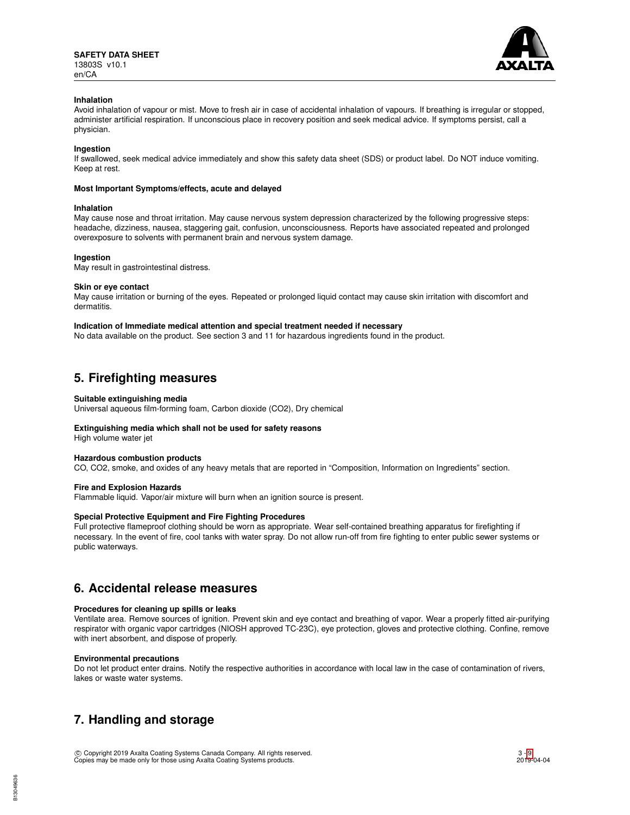

## **Inhalation**

Avoid inhalation of vapour or mist. Move to fresh air in case of accidental inhalation of vapours. If breathing is irregular or stopped, administer artificial respiration. If unconscious place in recovery position and seek medical advice. If symptoms persist, call a physician.

## **Ingestion**

If swallowed, seek medical advice immediately and show this safety data sheet (SDS) or product label. Do NOT induce vomiting. Keep at rest.

### **Most Important Symptoms/effects, acute and delayed**

### **Inhalation**

May cause nose and throat irritation. May cause nervous system depression characterized by the following progressive steps: headache, dizziness, nausea, staggering gait, confusion, unconsciousness. Reports have associated repeated and prolonged overexposure to solvents with permanent brain and nervous system damage.

## **Ingestion**

May result in gastrointestinal distress.

## **Skin or eye contact**

May cause irritation or burning of the eyes. Repeated or prolonged liquid contact may cause skin irritation with discomfort and dermatitis.

### **Indication of Immediate medical attention and special treatment needed if necessary**

No data available on the product. See section 3 and 11 for hazardous ingredients found in the product.

# **5. Firefighting measures**

## **Suitable extinguishing media**

Universal aqueous film-forming foam, Carbon dioxide (CO2), Dry chemical

# **Extinguishing media which shall not be used for safety reasons**

# High volume water jet

# **Hazardous combustion products**

CO, CO2, smoke, and oxides of any heavy metals that are reported in "Composition, Information on Ingredients" section.

# **Fire and Explosion Hazards**

Flammable liquid. Vapor/air mixture will burn when an ignition source is present.

# **Special Protective Equipment and Fire Fighting Procedures**

Full protective flameproof clothing should be worn as appropriate. Wear self-contained breathing apparatus for firefighting if necessary. In the event of fire, cool tanks with water spray. Do not allow run-off from fire fighting to enter public sewer systems or public waterways.

# **6. Accidental release measures**

# **Procedures for cleaning up spills or leaks**

Ventilate area. Remove sources of ignition. Prevent skin and eye contact and breathing of vapor. Wear a properly fitted air-purifying respirator with organic vapor cartridges (NIOSH approved TC-23C), eye protection, gloves and protective clothing. Confine, remove with inert absorbent, and dispose of properly.

### **Environmental precautions**

B13049636

Do not let product enter drains. Notify the respective authorities in accordance with local law in the case of contamination of rivers, lakes or waste water systems.

# **7. Handling and storage**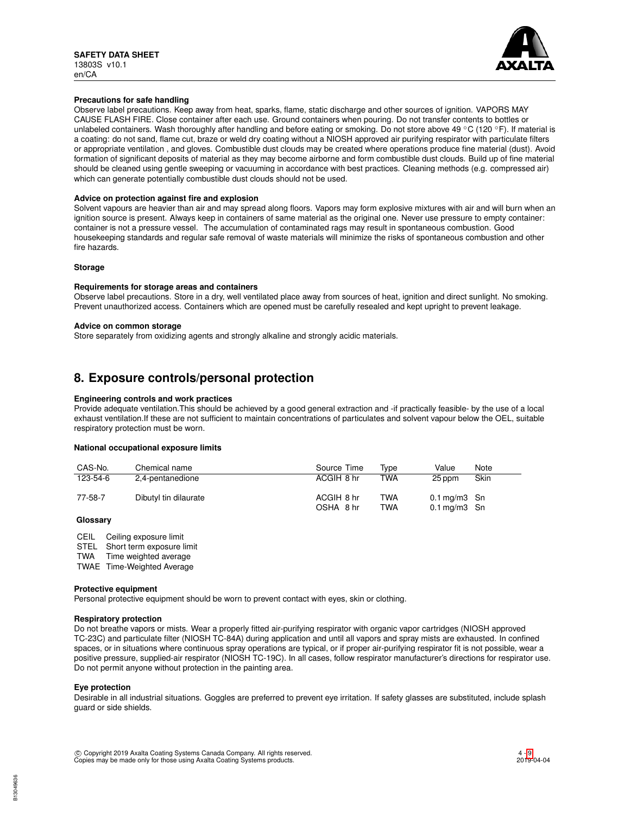

## **Precautions for safe handling**

Observe label precautions. Keep away from heat, sparks, flame, static discharge and other sources of ignition. VAPORS MAY CAUSE FLASH FIRE. Close container after each use. Ground containers when pouring. Do not transfer contents to bottles or unlabeled containers. Wash thoroughly after handling and before eating or smoking. Do not store above 49 °C (120 °F). If material is a coating: do not sand, flame cut, braze or weld dry coating without a NIOSH approved air purifying respirator with particulate filters or appropriate ventilation , and gloves. Combustible dust clouds may be created where operations produce fine material (dust). Avoid formation of significant deposits of material as they may become airborne and form combustible dust clouds. Build up of fine material should be cleaned using gentle sweeping or vacuuming in accordance with best practices. Cleaning methods (e.g. compressed air) which can generate potentially combustible dust clouds should not be used.

### **Advice on protection against fire and explosion**

Solvent vapours are heavier than air and may spread along floors. Vapors may form explosive mixtures with air and will burn when an ignition source is present. Always keep in containers of same material as the original one. Never use pressure to empty container: container is not a pressure vessel. The accumulation of contaminated rags may result in spontaneous combustion. Good housekeeping standards and regular safe removal of waste materials will minimize the risks of spontaneous combustion and other fire hazards.

## **Storage**

## **Requirements for storage areas and containers**

Observe label precautions. Store in a dry, well ventilated place away from sources of heat, ignition and direct sunlight. No smoking. Prevent unauthorized access. Containers which are opened must be carefully resealed and kept upright to prevent leakage.

### **Advice on common storage**

Store separately from oxidizing agents and strongly alkaline and strongly acidic materials.

# **8. Exposure controls/personal protection**

### **Engineering controls and work practices**

Provide adequate ventilation.This should be achieved by a good general extraction and -if practically feasible- by the use of a local exhaust ventilation.If these are not sufficient to maintain concentrations of particulates and solvent vapour below the OEL, suitable respiratory protection must be worn.

### **National occupational exposure limits**

| CAS-No.  | Chemical name         | Source Time | Tvpe       | Value                     | Note |
|----------|-----------------------|-------------|------------|---------------------------|------|
| 123-54-6 | 2,4-pentanedione      | ACGIH 8 hr  | <b>TWA</b> | 25 ppm                    | Skin |
| 77-58-7  | Dibutyl tin dilaurate | ACGIH 8 hr  | <b>TWA</b> | $0.1 \,\mathrm{mq/m3}$ Sn |      |
|          |                       | OSHA 8 hr   | TWA        | $0.1 \,\mathrm{mg/m3}$ Sn |      |

### **Glossary**

CEIL Ceiling exposure limit STEL Short term exposure limit

- TWA Time weighted average
- 
- TWAE Time-Weighted Average

### **Protective equipment**

Personal protective equipment should be worn to prevent contact with eyes, skin or clothing.

# **Respiratory protection**

Do not breathe vapors or mists. Wear a properly fitted air-purifying respirator with organic vapor cartridges (NIOSH approved TC-23C) and particulate filter (NIOSH TC-84A) during application and until all vapors and spray mists are exhausted. In confined spaces, or in situations where continuous spray operations are typical, or if proper air-purifying respirator fit is not possible, wear a positive pressure, supplied-air respirator (NIOSH TC-19C). In all cases, follow respirator manufacturer's directions for respirator use. Do not permit anyone without protection in the painting area.

### **Eye protection**

Desirable in all industrial situations. Goggles are preferred to prevent eye irritation. If safety glasses are substituted, include splash guard or side shields.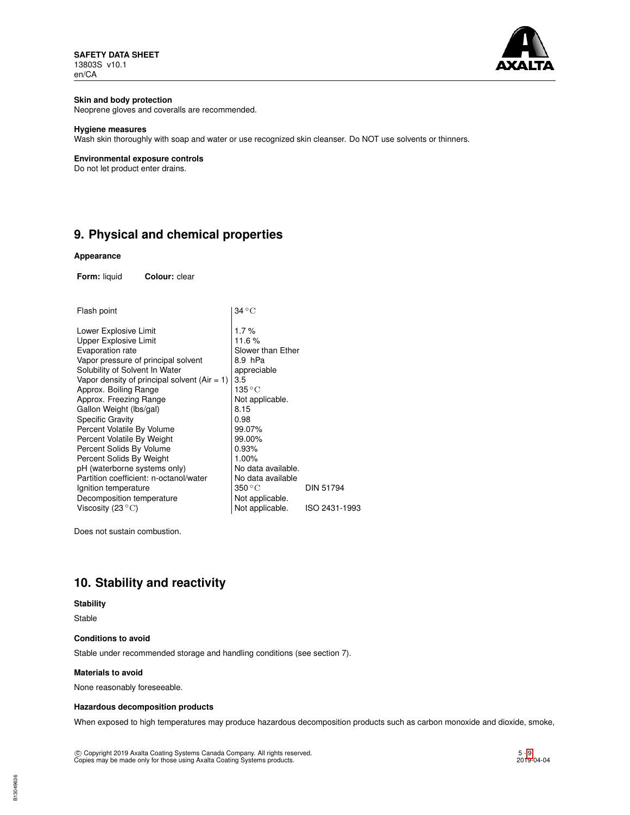**SAFETY DATA SHEET** 13803S v10.1 en/CA



# **Skin and body protection**

Neoprene gloves and coveralls are recommended.

# **Hygiene measures**

Wash skin thoroughly with soap and water or use recognized skin cleanser. Do NOT use solvents or thinners.

# **Environmental exposure controls**

Do not let product enter drains.

# **9. Physical and chemical properties**

# **Appearance**

**Form:** liquid **Colour:** clear

| Flash point                                    | $34\,^{\circ}\mathrm{C}$  |               |
|------------------------------------------------|---------------------------|---------------|
| Lower Explosive Limit                          | 1.7%                      |               |
| Upper Explosive Limit                          | 11.6%                     |               |
| Evaporation rate                               | Slower than Ether         |               |
| Vapor pressure of principal solvent            | 8.9 hPa                   |               |
| Solubility of Solvent In Water                 | appreciable               |               |
| Vapor density of principal solvent $(Air = 1)$ | 3.5                       |               |
| Approx. Boiling Range                          | 135 ° C                   |               |
| Approx. Freezing Range                         | Not applicable.           |               |
| Gallon Weight (lbs/gal)                        | 8.15                      |               |
| <b>Specific Gravity</b>                        | 0.98                      |               |
| Percent Volatile By Volume                     | 99.07%                    |               |
| Percent Volatile By Weight                     | 99.00%                    |               |
| Percent Solids By Volume                       | 0.93%                     |               |
| Percent Solids By Weight                       | 1.00%                     |               |
| pH (waterborne systems only)                   | No data available.        |               |
| Partition coefficient: n-octanol/water         | No data available         |               |
| Ignition temperature                           | $350\,^{\circ}\mathrm{C}$ | DIN 51794     |
| Decomposition temperature                      | Not applicable.           |               |
| Viscosity (23 $^{\circ}$ C)                    | Not applicable.           | ISO 2431-1993 |
|                                                |                           |               |

Does not sustain combustion.

# **10. Stability and reactivity**

# **Stability**

Stable

### **Conditions to avoid**

Stable under recommended storage and handling conditions (see section 7).

### **Materials to avoid**

None reasonably foreseeable.

# **Hazardous decomposition products**

When exposed to high temperatures may produce hazardous decomposition products such as carbon monoxide and dioxide, smoke,

c Copyright 2019 Axalta Coating Systems Canada Company. All rights reserved. Copies may be made only for those using Axalta Coating Systems products.

B13049636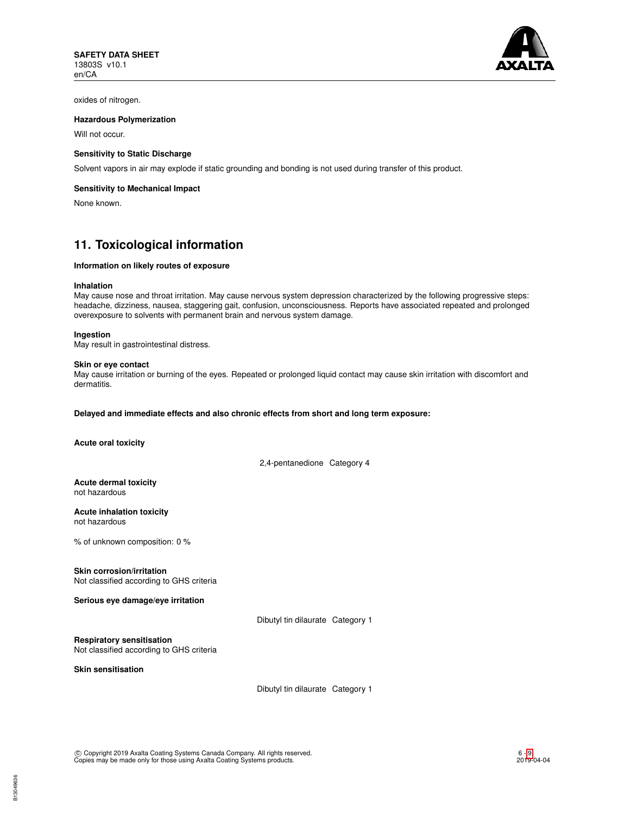

oxides of nitrogen.

## **Hazardous Polymerization**

Will not occur.

### **Sensitivity to Static Discharge**

Solvent vapors in air may explode if static grounding and bonding is not used during transfer of this product.

### **Sensitivity to Mechanical Impact**

None known.

# **11. Toxicological information**

### **Information on likely routes of exposure**

#### **Inhalation**

May cause nose and throat irritation. May cause nervous system depression characterized by the following progressive steps: headache, dizziness, nausea, staggering gait, confusion, unconsciousness. Reports have associated repeated and prolonged overexposure to solvents with permanent brain and nervous system damage.

#### **Ingestion**

May result in gastrointestinal distress.

#### **Skin or eye contact**

May cause irritation or burning of the eyes. Repeated or prolonged liquid contact may cause skin irritation with discomfort and dermatitis.

# **Delayed and immediate effects and also chronic effects from short and long term exposure:**

**Acute oral toxicity**

2,4-pentanedione Category 4

#### **Acute dermal toxicity** not hazardous

**Acute inhalation toxicity** not hazardous

% of unknown composition: 0 %

### **Skin corrosion/irritation**

Not classified according to GHS criteria

**Serious eye damage/eye irritation**

Dibutyl tin dilaurate Category 1

**Respiratory sensitisation**

Not classified according to GHS criteria

**Skin sensitisation**

Dibutyl tin dilaurate Category 1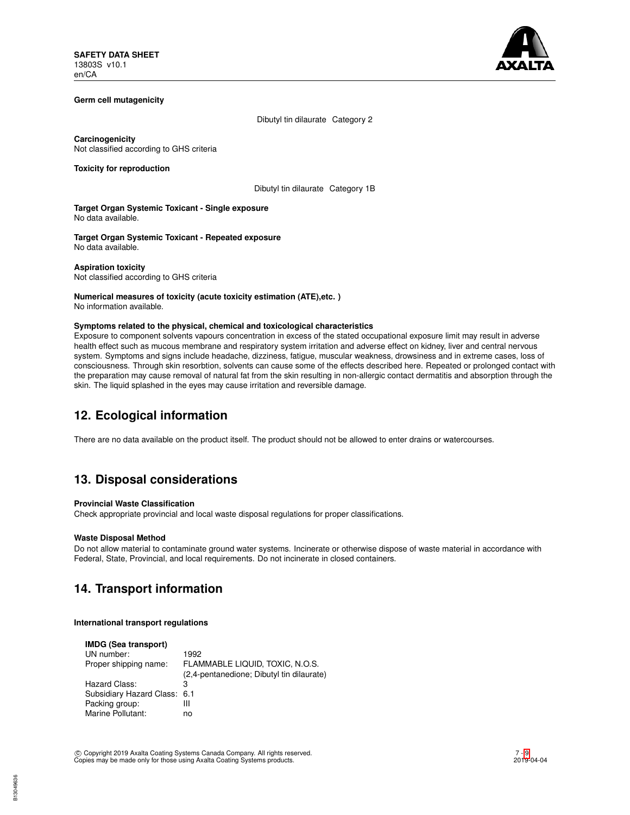

## **Germ cell mutagenicity**

Dibutyl tin dilaurate Category 2

**Carcinogenicity** Not classified according to GHS criteria

**Toxicity for reproduction**

Dibutyl tin dilaurate Category 1B

**Target Organ Systemic Toxicant - Single exposure** No data available.

**Target Organ Systemic Toxicant - Repeated exposure** No data available.

**Aspiration toxicity** Not classified according to GHS criteria

### **Numerical measures of toxicity (acute toxicity estimation (ATE),etc. )** No information available.

#### **Symptoms related to the physical, chemical and toxicological characteristics**

Exposure to component solvents vapours concentration in excess of the stated occupational exposure limit may result in adverse health effect such as mucous membrane and respiratory system irritation and adverse effect on kidney, liver and central nervous system. Symptoms and signs include headache, dizziness, fatigue, muscular weakness, drowsiness and in extreme cases, loss of consciousness. Through skin resorbtion, solvents can cause some of the effects described here. Repeated or prolonged contact with the preparation may cause removal of natural fat from the skin resulting in non-allergic contact dermatitis and absorption through the skin. The liquid splashed in the eyes may cause irritation and reversible damage.

# **12. Ecological information**

There are no data available on the product itself. The product should not be allowed to enter drains or watercourses.

# **13. Disposal considerations**

# **Provincial Waste Classification**

Check appropriate provincial and local waste disposal regulations for proper classifications.

### **Waste Disposal Method**

Do not allow material to contaminate ground water systems. Incinerate or otherwise dispose of waste material in accordance with Federal, State, Provincial, and local requirements. Do not incinerate in closed containers.

# **14. Transport information**

## **International transport regulations**

| <b>IMDG (Sea transport)</b>  |                                           |
|------------------------------|-------------------------------------------|
| UN number:                   | 1992                                      |
| Proper shipping name:        | FLAMMABLE LIQUID, TOXIC, N.O.S.           |
|                              | (2,4-pentanedione; Dibutyl tin dilaurate) |
| Hazard Class:                | з                                         |
| Subsidiary Hazard Class: 6.1 |                                           |
| Packing group:               | Ш                                         |
| Marine Pollutant:            | no                                        |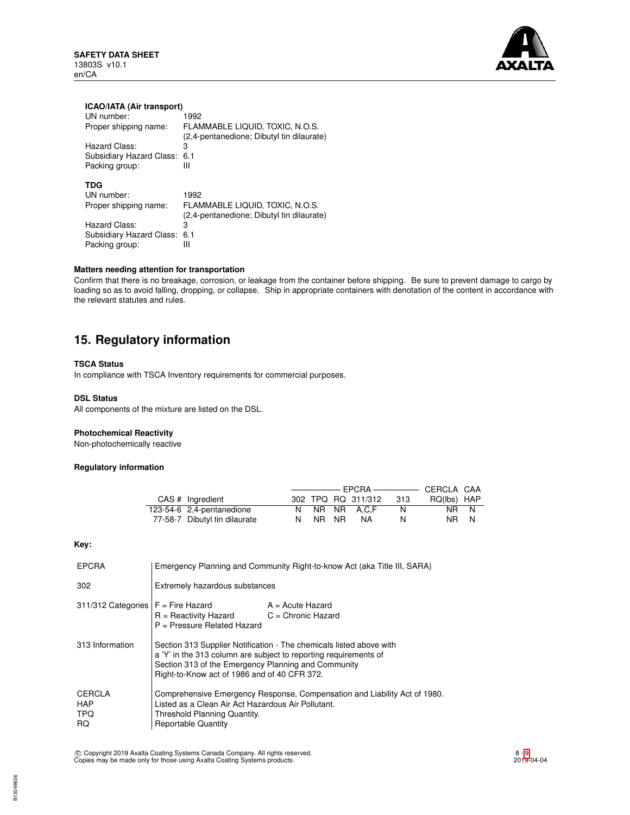**SAFETY DATA SHEET** 13803S v10.1 en/CA



# **ICAO/IATA (Air transport)**

| UN number:               | 1992                                      |
|--------------------------|-------------------------------------------|
| Proper shipping name:    | FLAMMABLE LIQUID, TOXIC, N.O.S.           |
|                          | (2,4-pentanedione; Dibutyl tin dilaurate) |
| Hazard Class:            | 3                                         |
| Subsidiary Hazard Class: | 6.1                                       |
| Packing group:           | Ш                                         |
|                          |                                           |
| TDG                      |                                           |
| UN number:               | 1992                                      |
| Proper shipping name:    | FLAMMABLE LIQUID, TOXIC, N.O.S.           |
|                          | (2,4-pentanedione; Dibutyl tin dilaurate) |
| Hazard Class:            | 3                                         |
| Subsidiary Hazard Class: | 6.1                                       |
| Packing group:           | Ш                                         |
|                          |                                           |

# **Matters needing attention for transportation**

Confirm that there is no breakage, corrosion, or leakage from the container before shipping. Be sure to prevent damage to cargo by loading so as to avoid falling, dropping, or collapse. Ship in appropriate containers with denotation of the content in accordance with the relevant statutes and rules.

# **15. Regulatory information**

# **TSCA Status**

In compliance with TSCA Inventory requirements for commercial purposes.

## **DSL Status**

All components of the mixture are listed on the DSL.

## **Photochemical Reactivity**

Non-photochemically reactive

# **Regulatory information**

| CAS # Ingredient              |       | 302 TPQ RQ 311/312 | - 313 | RQ(lbs) HAP |  |
|-------------------------------|-------|--------------------|-------|-------------|--|
| 123-54-6 2,4-pentanedione     |       | NR NR A.C.F        | N     | NR N        |  |
| 77-58-7 Dibutyl tin dilaurate | NR NR | NA                 | N     | NR N        |  |

# **Key:**

B13049636

| <b>EPCRA</b>                              | Emergency Planning and Community Right-to-know Act (aka Title III, SARA)                                                                                                                                                                       |  |  |
|-------------------------------------------|------------------------------------------------------------------------------------------------------------------------------------------------------------------------------------------------------------------------------------------------|--|--|
| 302                                       | Extremely hazardous substances                                                                                                                                                                                                                 |  |  |
| 311/312 Categories $F =$ Fire Hazard      | $A = Acute$ Hazard<br>$R =$ Reactivity Hazard<br>$C =$ Chronic Hazard<br>P = Pressure Related Hazard                                                                                                                                           |  |  |
| 313 Information                           | Section 313 Supplier Notification - The chemicals listed above with<br>a 'Y' in the 313 column are subject to reporting requirements of<br>Section 313 of the Emergency Planning and Community<br>Right-to-Know act of 1986 and of 40 CFR 372. |  |  |
| CERCLA<br><b>HAP</b><br>TPQ.<br><b>RQ</b> | Comprehensive Emergency Response, Compensation and Liability Act of 1980.<br>Listed as a Clean Air Act Hazardous Air Pollutant.<br>Threshold Planning Quantity.<br><b>Reportable Quantity</b>                                                  |  |  |